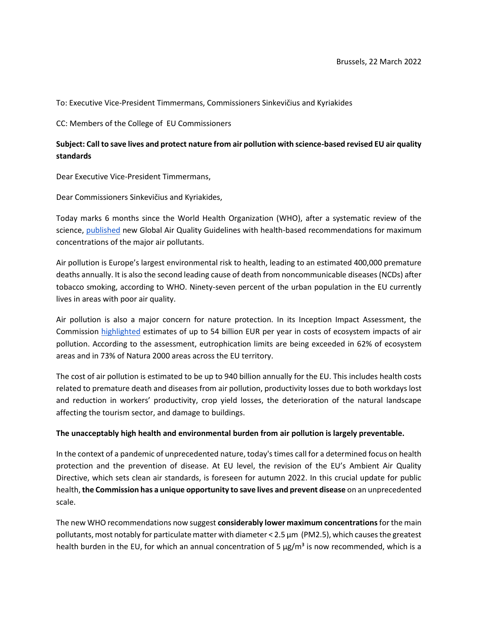To: Executive Vice-President Timmermans, Commissioners Sinkevičius and Kyriakides

CC: Members of the College of EU Commissioners

## **Subject: Call to save lives and protect nature from air pollution with science-based revised EU air quality standards**

Dear Executive Vice-President Timmermans,

Dear Commissioners Sinkevičius and Kyriakides,

Today marks 6 months since the World Health Organization (WHO), after a systematic review of the science, [published](https://apps.who.int/iris/handle/10665/345329) new Global Air Quality Guidelines with health-based recommendations for maximum concentrations of the major air pollutants.

Air pollution is Europe's largest environmental risk to health, leading to an estimated 400,000 premature deaths annually. It is also the second leading cause of death from noncommunicable diseases (NCDs) after tobacco smoking, according to WHO. Ninety-seven percent of the urban population in the EU currently lives in areas with poor air quality.

Air pollution is also a major concern for nature protection. In its Inception Impact Assessment, the Commission [highlighted](https://ec.europa.eu/environment/air/documents/Inception%20impact%20assessment%20-%20Ares(2020)7689281.pdf) estimates of up to 54 billion EUR per year in costs of ecosystem impacts of air pollution. According to the assessment, eutrophication limits are being exceeded in 62% of ecosystem areas and in 73% of Natura 2000 areas across the EU territory.

The cost of air pollution is estimated to be up to 940 billion annually for the EU. This includes health costs related to premature death and diseases from air pollution, productivity losses due to both workdays lost and reduction in workers' productivity, crop yield losses, the deterioration of the natural landscape affecting the tourism sector, and damage to buildings.

## **The unacceptably high health and environmental burden from air pollution is largely preventable.**

In the context of a pandemic of unprecedented nature, today's times call for a determined focus on health protection and the prevention of disease. At EU level, the revision of the EU's Ambient Air Quality Directive, which sets clean air standards, is foreseen for autumn 2022. In this crucial update for public health, **the Commission has a unique opportunity to save lives and prevent disease** on an unprecedented scale.

The new WHO recommendations now suggest **considerably lower maximum concentrations** for the main pollutants, most notably for particulate matter with diameter < 2.5 μm (PM2.5), which causes the greatest health burden in the EU, for which an annual concentration of 5  $\mu g/m^3$  is now recommended, which is a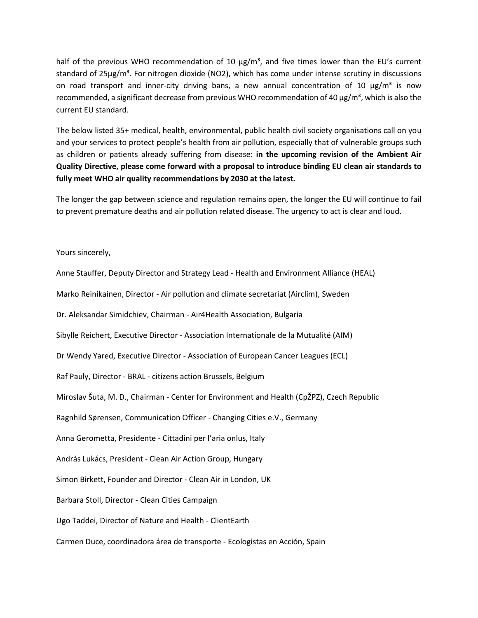half of the previous WHO recommendation of 10  $\mu$ g/m<sup>3</sup>, and five times lower than the EU's current standard of  $25\mu g/m<sup>3</sup>$ . For nitrogen dioxide (NO2), which has come under intense scrutiny in discussions on road transport and inner-city driving bans, a new annual concentration of 10  $\mu$ g/m<sup>3</sup> is now recommended, a significant decrease from previous WHO recommendation of 40 μg/m<sup>3</sup>, which is also the current EU standard.

The below listed 35+ medical, health, environmental, public health civil society organisations call on you and your services to protect people's health from air pollution, especially that of vulnerable groups such as children or patients already suffering from disease: **in the upcoming revision of the Ambient Air Quality Directive, please come forward with a proposal to introduce binding EU clean air standards to fully meet WHO air quality recommendations by 2030 at the latest.**

The longer the gap between science and regulation remains open, the longer the EU will continue to fail to prevent premature deaths and air pollution related disease. The urgency to act is clear and loud.

## Yours sincerely,

Anne Stauffer, Deputy Director and Strategy Lead - Health and Environment Alliance (HEAL) Marko Reinikainen, Director - Air pollution and climate secretariat (Airclim), Sweden Dr. Aleksandar Simidchiev, Chairman - Air4Health Association, Bulgaria Sibylle Reichert, Executive Director - Association Internationale de la Mutualité (AIM) Dr Wendy Yared, Executive Director - Association of European Cancer Leagues (ECL) Raf Pauly, Director - BRAL - citizens action Brussels, Belgium Miroslav Šuta, M. D., Chairman - Center for Environment and Health (CpŽPZ), Czech Republic Ragnhild Sørensen, Communication Officer - Changing Cities e.V., Germany Anna Gerometta, Presidente - Cittadini per l'aria onlus, Italy András Lukács, President - Clean Air Action Group, Hungary Simon Birkett, Founder and Director - Clean Air in London, UK Barbara Stoll, Director - Clean Cities Campaign Ugo Taddei, Director of Nature and Health - ClientEarth Carmen Duce, coordinadora área de transporte - Ecologistas en Acción, Spain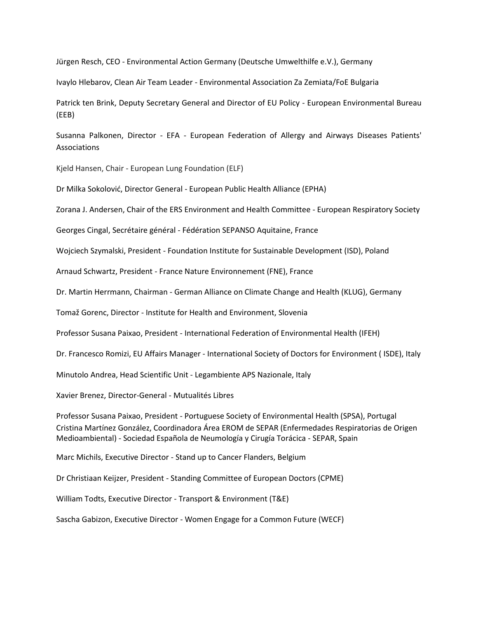Jürgen Resch, CEO - Environmental Action Germany (Deutsche Umwelthilfe e.V.), Germany

Ivaylo Hlebarov, Clean Air Team Leader - Environmental Association Za Zemiata/FoE Bulgaria

Patrick ten Brink, Deputy Secretary General and Director of EU Policy - European Environmental Bureau (EEB)

Susanna Palkonen, Director - EFA - European Federation of Allergy and Airways Diseases Patients' Associations

Kjeld Hansen, Chair - European Lung Foundation (ELF)

Dr Milka Sokolović, Director General - European Public Health Alliance (EPHA)

Zorana J. Andersen, Chair of the ERS Environment and Health Committee - European Respiratory Society

Georges Cingal, Secrétaire général - Fédération SEPANSO Aquitaine, France

Wojciech Szymalski, President - Foundation Institute for Sustainable Development (ISD), Poland

Arnaud Schwartz, President - France Nature Environnement (FNE), France

Dr. Martin Herrmann, Chairman - German Alliance on Climate Change and Health (KLUG), Germany

Tomaž Gorenc, Director - Institute for Health and Environment, Slovenia

Professor Susana Paixao, President - International Federation of Environmental Health (IFEH)

Dr. Francesco Romizi, EU Affairs Manager - International Society of Doctors for Environment ( ISDE), Italy

Minutolo Andrea, Head Scientific Unit - Legambiente APS Nazionale, Italy

Xavier Brenez, Director-General - Mutualités Libres

Professor Susana Paixao, President - Portuguese Society of Environmental Health (SPSA), Portugal Cristina Martínez González, Coordinadora Área EROM de SEPAR (Enfermedades Respiratorias de Origen Medioambiental) - Sociedad Española de Neumología y Cirugía Torácica - SEPAR, Spain

Marc Michils, Executive Director - Stand up to Cancer Flanders, Belgium

Dr Christiaan Keijzer, President - Standing Committee of European Doctors (CPME)

William Todts, Executive Director - Transport & Environment (T&E)

Sascha Gabizon, Executive Director - Women Engage for a Common Future (WECF)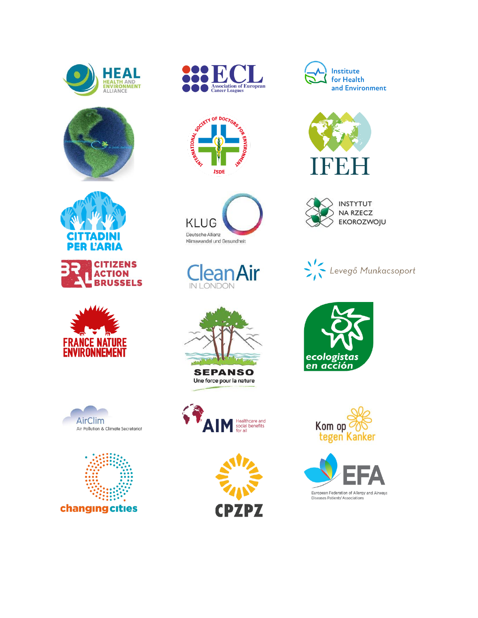























Une force pour la nature